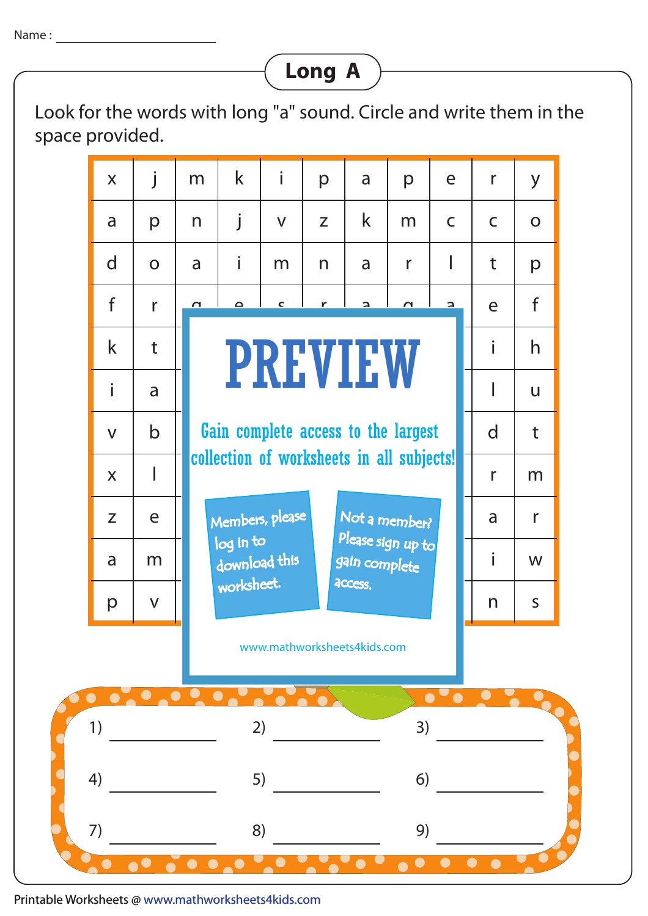## **Long A**

Look for the words with long "a" sound. Circle and write them in the space provided.



Printable Worksheets @ www.mathworksheets4kids.com